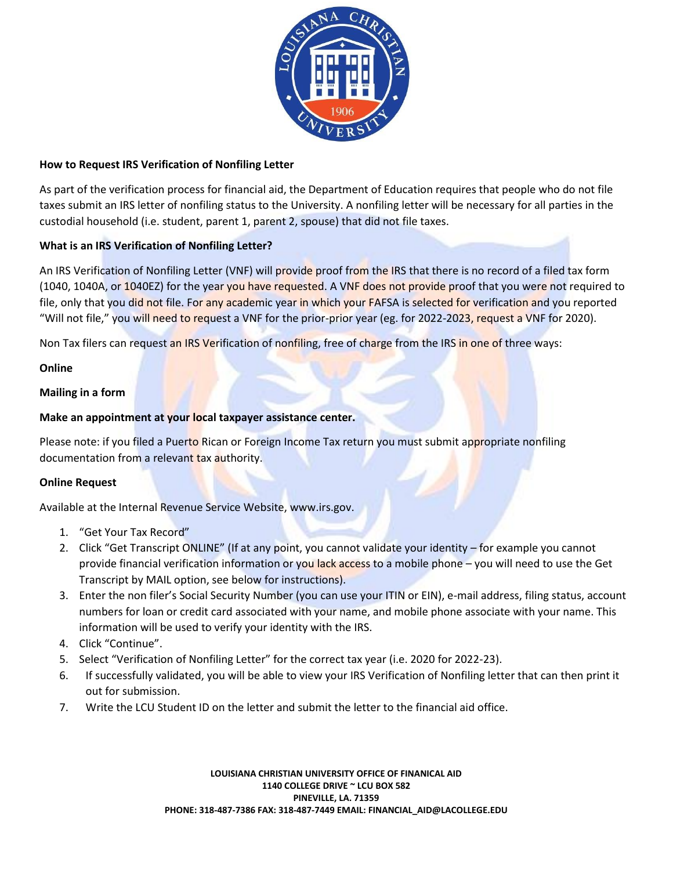

## **How to Request IRS Verification of Nonfiling Letter**

As part of the verification process for financial aid, the Department of Education requires that people who do not file taxes submit an IRS letter of nonfiling status to the University. A nonfiling letter will be necessary for all parties in the custodial household (i.e. student, parent 1, parent 2, spouse) that did not file taxes.

# **What is an IRS Verification of Nonfiling Letter?**

An IRS Verification of Nonfiling Letter (VNF) will provide proof from the IRS that there is no record of a filed tax form (1040, 1040A, or 1040EZ) for the year you have requested. A VNF does not provide proof that you were not required to file, only that you did not file. For any academic year in which your FAFSA is selected for verification and you reported "Will not file," you will need to request a VNF for the prior-prior year (eg. for 2022-2023, request a VNF for 2020).

Non Tax filers can request an IRS Verification of nonfiling, free of charge from the IRS in one of three ways:

# **Online**

# **Mailing in a form**

# **Make an appointment at your local taxpayer assistance center.**

Please note: if you filed a Puerto Rican or Foreign Income Tax return you must submit appropriate nonfiling documentation from a relevant tax authority.

# **Online Request**

Available at the Internal Revenue Service Website, www.irs.gov.

- 1. "Get Your Tax Record"
- 2. Click "Get Transcript ONLINE" (If at any point, you cannot validate your identity for example you cannot provide financial verification information or you lack access to a mobile phone – you will need to use the Get Transcript by MAIL option, see below for instructions).
- 3. Enter the non filer's Social Security Number (you can use your ITIN or EIN), e-mail address, filing status, account numbers for loan or credit card associated with your name, and mobile phone associate with your name. This information will be used to verify your identity with the IRS.
- 4. Click "Continue".
- 5. Select "Verification of Nonfiling Letter" for the correct tax year (i.e. 2020 for 2022-23).
- 6. If successfully validated, you will be able to view your IRS Verification of Nonfiling letter that can then print it out for submission.
- 7. Write the LCU Student ID on the letter and submit the letter to the financial aid office.

**LOUISIANA CHRISTIAN UNIVERSITY OFFICE OF FINANICAL AID 1140 COLLEGE DRIVE ~ LCU BOX 582 PINEVILLE, LA. 71359 PHONE: 318-487-7386 FAX: 318-487-7449 EMAIL: FINANCIAL\_AID@LACOLLEGE.EDU**